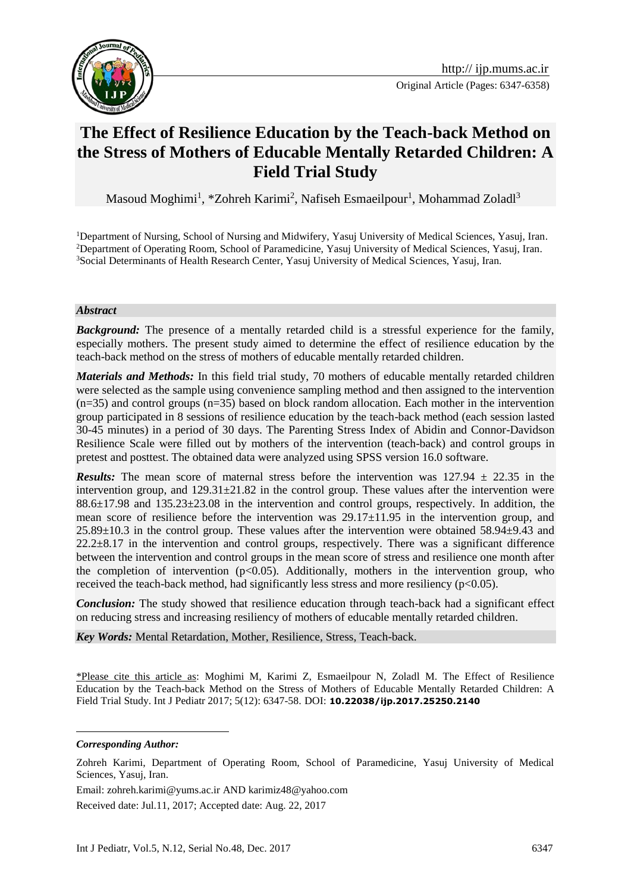

# **The Effect of Resilience Education by the Teach-back Method on the Stress of Mothers of Educable Mentally Retarded Children: A Field Trial Study**

Masoud Moghimi<sup>1</sup>, \*Zohreh Karimi<sup>2</sup>, Nafiseh Esmaeilpour<sup>1</sup>, Mohammad Zoladl<sup>3</sup>

<sup>1</sup>Department of Nursing, School of Nursing and Midwifery, Yasuj University of Medical Sciences, Yasuj, Iran. <sup>2</sup>Department of Operating Room, School of Paramedicine, Yasuj University of Medical Sciences, Yasuj, Iran. <sup>3</sup>Social Determinants of Health Research Center, Yasuj University of Medical Sciences, Yasuj, Iran.

#### *Abstract*

**Background:** The presence of a mentally retarded child is a stressful experience for the family, especially mothers. The present study aimed to determine the effect of resilience education by the teach-back method on the stress of mothers of educable mentally retarded children.

*Materials and Methods:* In this field trial study, 70 mothers of educable mentally retarded children were selected as the sample using convenience sampling method and then assigned to the intervention (n=35) and control groups (n=35) based on block random allocation. Each mother in the intervention group participated in 8 sessions of resilience education by the teach-back method (each session lasted 30-45 minutes) in a period of 30 days. The Parenting Stress Index of Abidin and Connor-Davidson Resilience Scale were filled out by mothers of the intervention (teach-back) and control groups in pretest and posttest. The obtained data were analyzed using SPSS version 16.0 software.

**Results:** The mean score of maternal stress before the intervention was  $127.94 \pm 22.35$  in the intervention group, and  $129.31 \pm 21.82$  in the control group. These values after the intervention were 88.6±17.98 and 135.23±23.08 in the intervention and control groups, respectively. In addition, the mean score of resilience before the intervention was 29.17±11.95 in the intervention group, and 25.89±10.3 in the control group. These values after the intervention were obtained 58.94±9.43 and  $22.2\pm8.17$  in the intervention and control groups, respectively. There was a significant difference between the intervention and control groups in the mean score of stress and resilience one month after the completion of intervention  $(p<0.05)$ . Additionally, mothers in the intervention group, who received the teach-back method, had significantly less stress and more resiliency  $(p<0.05)$ .

*Conclusion:* The study showed that resilience education through teach-back had a significant effect on reducing stress and increasing resiliency of mothers of educable mentally retarded children.

*Key Words:* Mental Retardation, Mother, Resilience, Stress, Teach-back.

\*Please cite this article as: Moghimi M, Karimi Z, Esmaeilpour N, Zoladl M. The Effect of Resilience Education by the Teach-back Method on the Stress of Mothers of Educable Mentally Retarded Children: A Field Trial Study. Int J Pediatr 2017; 5(12): 6347-58. DOI: **10.22038/ijp.2017.25250.2140**

*Corresponding Author:*

<u>.</u>

Email: [zohreh.karimi@yums.ac.ir](mailto:zohreh.karimi@yums.ac.ir) AND karimiz48@yahoo.com

Received date: Jul.11, 2017; Accepted date: Aug. 22, 2017

Zohreh Karimi, Department of Operating Room, School of Paramedicine, Yasuj University of Medical Sciences, Yasuj, Iran.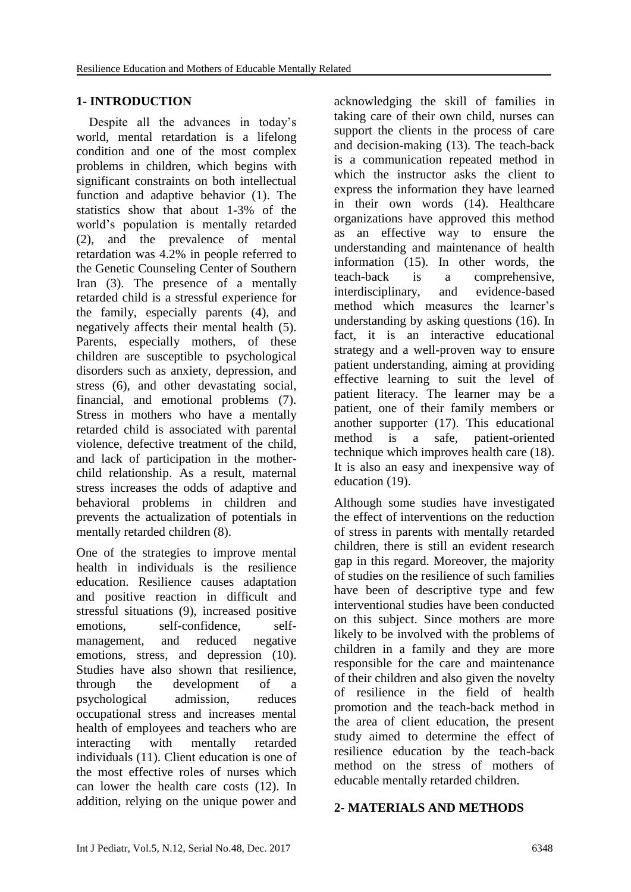# **1- INTRODUCTION**

 Despite all the advances in today's world, mental retardation is a lifelong condition and one of the most complex problems in children, which begins with significant constraints on both intellectual function and adaptive behavior (1). The statistics show that about 1-3% of the world's population is mentally retarded (2), and the prevalence of mental retardation was 4.2% in people referred to the Genetic Counseling Center of Southern Iran (3). The presence of a mentally retarded child is a stressful experience for the family, especially parents (4), and negatively affects their mental health (5). Parents, especially mothers, of these children are susceptible to psychological disorders such as anxiety, depression, and stress (6), and other devastating social, financial, and emotional problems (7). Stress in mothers who have a mentally retarded child is associated with parental violence, defective treatment of the child, and lack of participation in the motherchild relationship. As a result, maternal stress increases the odds of adaptive and behavioral problems in children and prevents the actualization of potentials in mentally retarded children (8).

One of the strategies to improve mental health in individuals is the resilience education. Resilience causes adaptation and positive reaction in difficult and stressful situations (9), increased positive emotions, self-confidence, selfmanagement, and reduced negative emotions, stress, and depression (10). Studies have also shown that resilience, through the development of a psychological admission, reduces occupational stress and increases mental health of employees and teachers who are interacting with mentally retarded individuals (11). Client education is one of the most effective roles of nurses which can lower the health care costs (12). In addition, relying on the unique power and

acknowledging the skill of families in taking care of their own child, nurses can support the clients in the process of care and decision-making (13). The teach-back is a communication repeated method in which the instructor asks the client to express the information they have learned in their own words (14). Healthcare organizations have approved this method as an effective way to ensure the understanding and maintenance of health information (15). In other words, the teach-back is a comprehensive, interdisciplinary, and evidence-based method which measures the learner's understanding by asking questions (16). In fact, it is an interactive educational strategy and a well-proven way to ensure patient understanding, aiming at providing effective learning to suit the level of patient literacy. The learner may be a patient, one of their family members or another supporter (17). This educational method is a safe, patient-oriented technique which improves health care (18). It is also an easy and inexpensive way of education (19).

Although some studies have investigated the effect of interventions on the reduction of stress in parents with mentally retarded children, there is still an evident research gap in this regard. Moreover, the majority of studies on the resilience of such families have been of descriptive type and few interventional studies have been conducted on this subject. Since mothers are more likely to be involved with the problems of children in a family and they are more responsible for the care and maintenance of their children and also given the novelty of resilience in the field of health promotion and the teach-back method in the area of client education, the present study aimed to determine the effect of resilience education by the teach-back method on the stress of mothers of educable mentally retarded children.

#### **2- MATERIALS AND METHODS**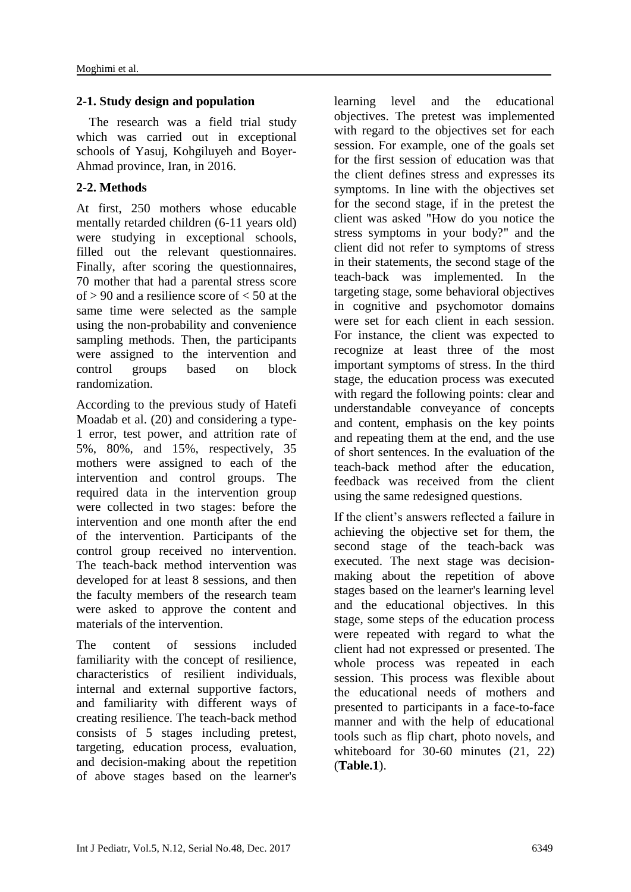#### **2-1. Study design and population**

 The research was a field trial study which was carried out in exceptional schools of Yasuj, Kohgiluyeh and Boyer-Ahmad province, Iran, in 2016.

# **2-2. Methods**

At first, 250 mothers whose educable mentally retarded children (6-11 years old) were studying in exceptional schools, filled out the relevant questionnaires. Finally, after scoring the questionnaires, 70 mother that had a parental stress score of  $> 90$  and a resilience score of  $< 50$  at the same time were selected as the sample using the non-probability and convenience sampling methods. Then, the participants were assigned to the intervention and control groups based on block randomization.

According to the previous study of Hatefi Moadab et al. (20) and considering a type-1 error, test power, and attrition rate of 5%, 80%, and 15%, respectively, 35 mothers were assigned to each of the intervention and control groups. The required data in the intervention group were collected in two stages: before the intervention and one month after the end of the intervention. Participants of the control group received no intervention. The teach-back method intervention was developed for at least 8 sessions, and then the faculty members of the research team were asked to approve the content and materials of the intervention.

The content of sessions included familiarity with the concept of resilience, characteristics of resilient individuals, internal and external supportive factors, and familiarity with different ways of creating resilience. The teach-back method consists of 5 stages including pretest, targeting, education process, evaluation, and decision-making about the repetition of above stages based on the learner's learning level and the educational objectives. The pretest was implemented with regard to the objectives set for each session. For example, one of the goals set for the first session of education was that the client defines stress and expresses its symptoms. In line with the objectives set for the second stage, if in the pretest the client was asked "How do you notice the stress symptoms in your body?" and the client did not refer to symptoms of stress in their statements, the second stage of the teach-back was implemented. In the targeting stage, some behavioral objectives in cognitive and psychomotor domains were set for each client in each session. For instance, the client was expected to recognize at least three of the most important symptoms of stress. In the third stage, the education process was executed with regard the following points: clear and understandable conveyance of concepts and content, emphasis on the key points and repeating them at the end, and the use of short sentences. In the evaluation of the teach-back method after the education, feedback was received from the client using the same redesigned questions.

If the client's answers reflected a failure in achieving the objective set for them, the second stage of the teach-back was executed. The next stage was decisionmaking about the repetition of above stages based on the learner's learning level and the educational objectives. In this stage, some steps of the education process were repeated with regard to what the client had not expressed or presented. The whole process was repeated in each session. This process was flexible about the educational needs of mothers and presented to participants in a face-to-face manner and with the help of educational tools such as flip chart, photo novels, and whiteboard for 30-60 minutes (21, 22) (**Table.1**).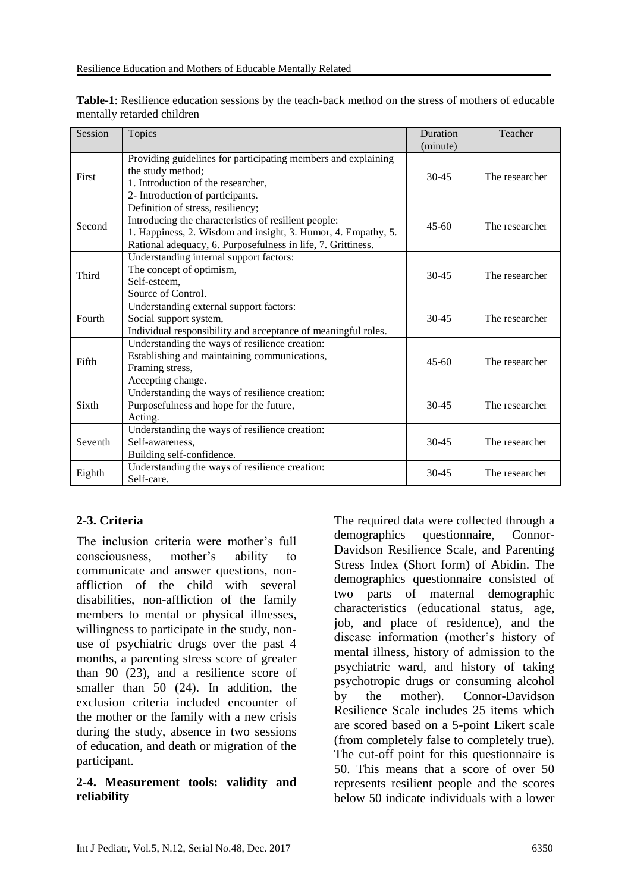| Session | Topics                                                                                                                                                                                                                     | Duration<br>(minute) | Teacher        |
|---------|----------------------------------------------------------------------------------------------------------------------------------------------------------------------------------------------------------------------------|----------------------|----------------|
| First   | Providing guidelines for participating members and explaining<br>the study method;<br>1. Introduction of the researcher,<br>2- Introduction of participants.                                                               | $30 - 45$            | The researcher |
| Second  | Definition of stress, resiliency;<br>Introducing the characteristics of resilient people:<br>1. Happiness, 2. Wisdom and insight, 3. Humor, 4. Empathy, 5.<br>Rational adequacy, 6. Purposefulness in life, 7. Grittiness. | $45 - 60$            | The researcher |
| Third   | Understanding internal support factors:<br>The concept of optimism,<br>Self-esteem,<br>Source of Control.                                                                                                                  | $30 - 45$            | The researcher |
| Fourth  | Understanding external support factors:<br>Social support system,<br>Individual responsibility and acceptance of meaningful roles.                                                                                         | $30 - 45$            | The researcher |
| Fifth   | Understanding the ways of resilience creation:<br>Establishing and maintaining communications,<br>Framing stress,<br>Accepting change.                                                                                     | $45-60$              | The researcher |
| Sixth   | Understanding the ways of resilience creation:<br>Purposefulness and hope for the future,<br>Acting.                                                                                                                       | $30 - 45$            | The researcher |
| Seventh | Understanding the ways of resilience creation:<br>Self-awareness,<br>Building self-confidence.                                                                                                                             | $30 - 45$            | The researcher |
| Eighth  | Understanding the ways of resilience creation:<br>Self-care.                                                                                                                                                               | $30 - 45$            | The researcher |

**Table-1**: Resilience education sessions by the teach-back method on the stress of mothers of educable mentally retarded children

# **2-3. Criteria**

The inclusion criteria were mother's full consciousness, mother's ability to communicate and answer questions, nonaffliction of the child with several disabilities, non-affliction of the family members to mental or physical illnesses, willingness to participate in the study, nonuse of psychiatric drugs over the past 4 months, a parenting stress score of greater than 90 (23), and a resilience score of smaller than 50 (24). In addition, the exclusion criteria included encounter of the mother or the family with a new crisis during the study, absence in two sessions of education, and death or migration of the participant.

#### **2-4. Measurement tools: validity and reliability**

The required data were collected through a demographics questionnaire, Connor-Davidson Resilience Scale, and Parenting Stress Index (Short form) of Abidin. The demographics questionnaire consisted of two parts of maternal demographic characteristics (educational status, age, job, and place of residence), and the disease information (mother's history of mental illness, history of admission to the psychiatric ward, and history of taking psychotropic drugs or consuming alcohol by the mother). Connor-Davidson Resilience Scale includes 25 items which are scored based on a 5-point Likert scale (from completely false to completely true). The cut-off point for this questionnaire is 50. This means that a score of over 50 represents resilient people and the scores below 50 indicate individuals with a lower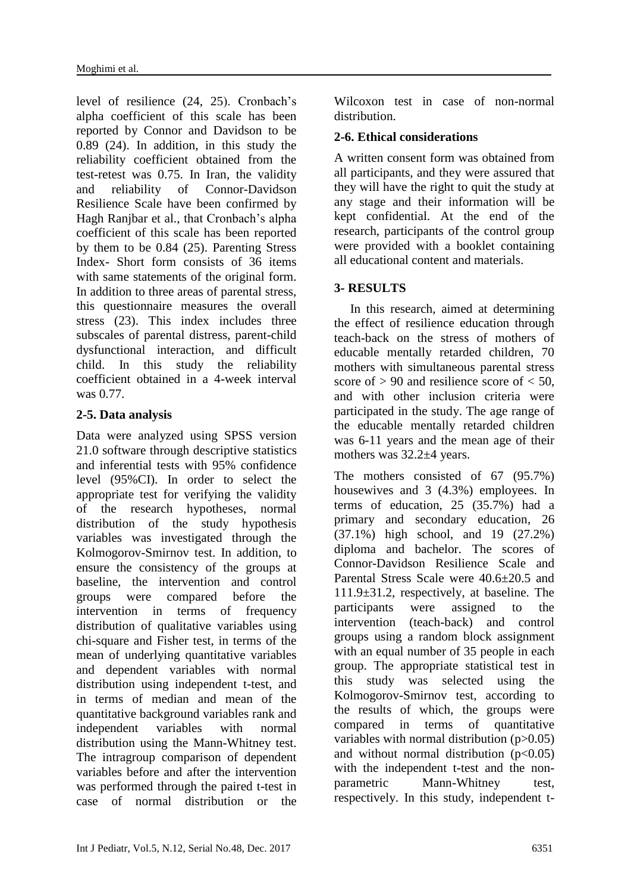level of resilience (24, 25). Cronbach's alpha coefficient of this scale has been reported by Connor and Davidson to be 0.89 (24). In addition, in this study the reliability coefficient obtained from the test-retest was 0.75. In Iran, the validity and reliability of Connor-Davidson Resilience Scale have been confirmed by Hagh Ranjbar et al., that Cronbach's alpha coefficient of this scale has been reported by them to be 0.84 (25). Parenting Stress Index- Short form consists of 36 items with same statements of the original form. In addition to three areas of parental stress, this questionnaire measures the overall stress (23). This index includes three subscales of parental distress, parent-child dysfunctional interaction, and difficult child. In this study the reliability coefficient obtained in a 4-week interval was 0.77.

# **2-5. Data analysis**

Data were analyzed using SPSS version 21.0 software through descriptive statistics and inferential tests with 95% confidence level (95%CI). In order to select the appropriate test for verifying the validity of the research hypotheses, normal distribution of the study hypothesis variables was investigated through the Kolmogorov-Smirnov test. In addition, to ensure the consistency of the groups at baseline, the intervention and control groups were compared before the intervention in terms of frequency distribution of qualitative variables using chi-square and Fisher test, in terms of the mean of underlying quantitative variables and dependent variables with normal distribution using independent t-test, and in terms of median and mean of the quantitative background variables rank and independent variables with normal distribution using the Mann-Whitney test. The intragroup comparison of dependent variables before and after the intervention was performed through the paired t-test in case of normal distribution or the Wilcoxon test in case of non-normal distribution.

#### **2-6. Ethical considerations**

A written consent form was obtained from all participants, and they were assured that they will have the right to quit the study at any stage and their information will be kept confidential. At the end of the research, participants of the control group were provided with a booklet containing all educational content and materials.

#### **3- RESULTS**

 In this research, aimed at determining the effect of resilience education through teach-back on the stress of mothers of educable mentally retarded children, 70 mothers with simultaneous parental stress score of  $> 90$  and resilience score of  $< 50$ , and with other inclusion criteria were participated in the study. The age range of the educable mentally retarded children was 6-11 years and the mean age of their mothers was 32.2±4 years.

The mothers consisted of 67 (95.7%) housewives and 3 (4.3%) employees. In terms of education, 25 (35.7%) had a primary and secondary education, 26 (37.1%) high school, and 19 (27.2%) diploma and bachelor. The scores of Connor-Davidson Resilience Scale and Parental Stress Scale were 40.6±20.5 and 111.9±31.2, respectively, at baseline. The participants were assigned to the intervention (teach-back) and control groups using a random block assignment with an equal number of 35 people in each group. The appropriate statistical test in this study was selected using the Kolmogorov-Smirnov test, according to the results of which, the groups were compared in terms of quantitative variables with normal distribution  $(p>0.05)$ and without normal distribution  $(p<0.05)$ with the independent t-test and the nonparametric Mann-Whitney test, respectively. In this study, independent t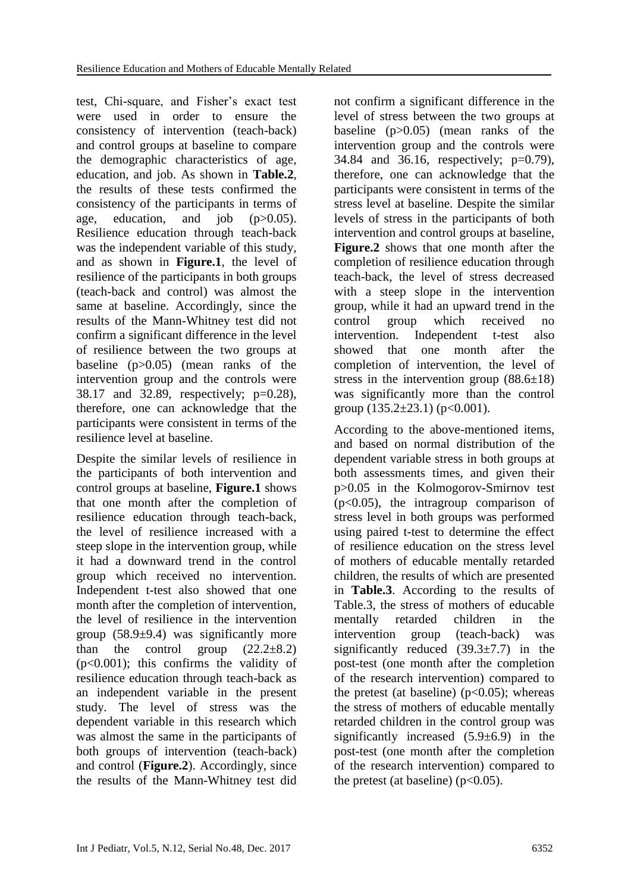test, Chi-square, and Fisher's exact test were used in order to ensure the consistency of intervention (teach-back) and control groups at baseline to compare the demographic characteristics of age, education, and job. As shown in **Table.2**, the results of these tests confirmed the consistency of the participants in terms of age, education, and job  $(p>0.05)$ . Resilience education through teach-back was the independent variable of this study, and as shown in **Figure.1**, the level of resilience of the participants in both groups (teach-back and control) was almost the same at baseline. Accordingly, since the results of the Mann-Whitney test did not confirm a significant difference in the level of resilience between the two groups at baseline (p>0.05) (mean ranks of the intervention group and the controls were 38.17 and 32.89, respectively; p=0.28), therefore, one can acknowledge that the participants were consistent in terms of the resilience level at baseline.

Despite the similar levels of resilience in the participants of both intervention and control groups at baseline, **Figure.1** shows that one month after the completion of resilience education through teach-back, the level of resilience increased with a steep slope in the intervention group, while it had a downward trend in the control group which received no intervention. Independent t-test also showed that one month after the completion of intervention, the level of resilience in the intervention group  $(58.9\pm9.4)$  was significantly more than the control group  $(22.2\pm8.2)$ (p<0.001); this confirms the validity of resilience education through teach-back as an independent variable in the present study. The level of stress was the dependent variable in this research which was almost the same in the participants of both groups of intervention (teach-back) and control (**Figure.2**). Accordingly, since the results of the Mann-Whitney test did not confirm a significant difference in the level of stress between the two groups at baseline (p>0.05) (mean ranks of the intervention group and the controls were 34.84 and 36.16, respectively; p=0.79), therefore, one can acknowledge that the participants were consistent in terms of the stress level at baseline. Despite the similar levels of stress in the participants of both intervention and control groups at baseline, **Figure.2** shows that one month after the completion of resilience education through teach-back, the level of stress decreased with a steep slope in the intervention group, while it had an upward trend in the control group which received no intervention. Independent t-test also showed that one month after the completion of intervention, the level of stress in the intervention group  $(88.6\pm18)$ was significantly more than the control group  $(135.2 \pm 23.1)$  (p<0.001).

According to the above-mentioned items, and based on normal distribution of the dependent variable stress in both groups at both assessments times, and given their p>0.05 in the Kolmogorov-Smirnov test (p<0.05), the intragroup comparison of stress level in both groups was performed using paired t-test to determine the effect of resilience education on the stress level of mothers of educable mentally retarded children, the results of which are presented in **Table.3**. According to the results of Table.3, the stress of mothers of educable mentally retarded children in the intervention group (teach-back) was significantly reduced  $(39.3 \pm 7.7)$  in the post-test (one month after the completion of the research intervention) compared to the pretest (at baseline)  $(p<0.05)$ ; whereas the stress of mothers of educable mentally retarded children in the control group was significantly increased  $(5.9\pm6.9)$  in the post-test (one month after the completion of the research intervention) compared to the pretest (at baseline) ( $p<0.05$ ).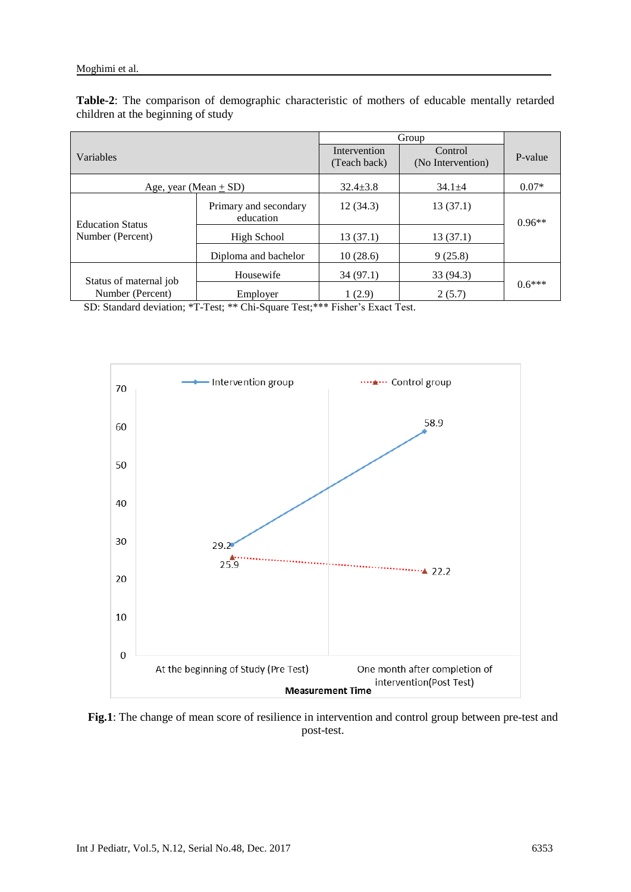|                           |                                    | Group                        |                              |          |  |
|---------------------------|------------------------------------|------------------------------|------------------------------|----------|--|
| Variables                 |                                    | Intervention<br>(Teach back) | Control<br>(No Intervention) | P-value  |  |
| Age, year (Mean $\pm$ SD) |                                    | $32.4 \pm 3.8$               | $34.1 \pm 4$                 | $0.07*$  |  |
| <b>Education Status</b>   | Primary and secondary<br>education | 12(34.3)                     | 13(37.1)                     | $0.96**$ |  |
| Number (Percent)          | High School                        | 13(37.1)                     | 13(37.1)                     |          |  |
|                           | Diploma and bachelor               | 10(28.6)                     | 9(25.8)                      |          |  |
| Status of maternal job    | Housewife                          | 34(97.1)                     | 33(94.3)                     |          |  |
| Number (Percent)          | Employer                           | 1(2.9)                       | 2(5.7)                       | $0.6***$ |  |

**Table-2**: The comparison of demographic characteristic of mothers of educable mentally retarded children at the beginning of study

SD: Standard deviation; \*T-Test; \*\* Chi-Square Test;\*\*\* Fisher's Exact Test.



**Fig.1**: The change of mean score of resilience in intervention and control group between pre-test and post-test.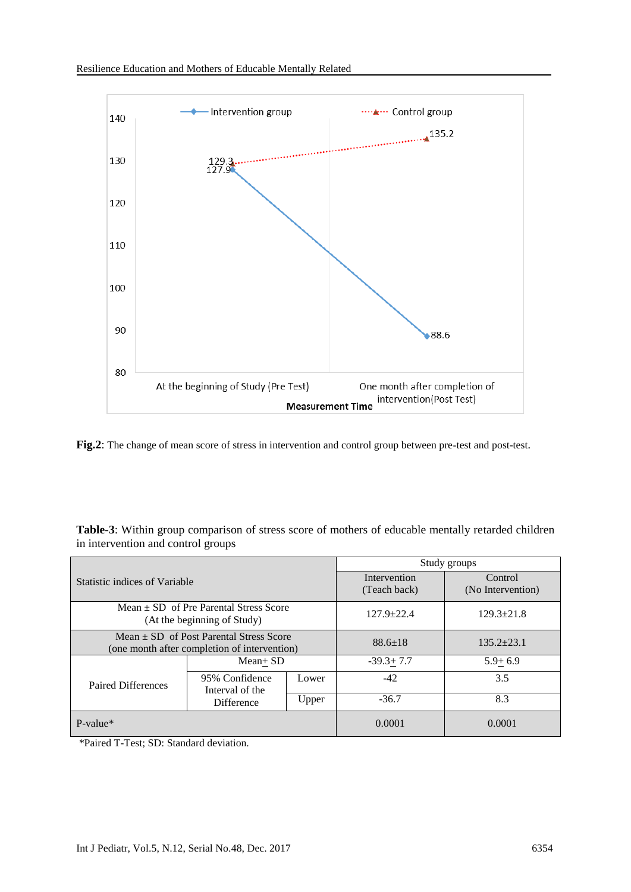

**Fig.2**: The change of mean score of stress in intervention and control group between pre-test and post-test.

| Table-3: Within group comparison of stress score of mothers of educable mentally retarded children |  |  |  |  |
|----------------------------------------------------------------------------------------------------|--|--|--|--|
| in intervention and control groups                                                                 |  |  |  |  |

|                                                                         |                                                                                             | Study groups  |                                    |                              |
|-------------------------------------------------------------------------|---------------------------------------------------------------------------------------------|---------------|------------------------------------|------------------------------|
| Statistic indices of Variable                                           |                                                                                             |               | Intervention<br>(Teach back)       | Control<br>(No Intervention) |
| $Mean + SD$ of Pre Parental Stress Score<br>(At the beginning of Study) |                                                                                             |               | $127.9 + 22.4$<br>$129.3 \pm 21.8$ |                              |
|                                                                         | Mean $\pm$ SD of Post Parental Stress Score<br>(one month after completion of intervention) | $88.6 \pm 18$ | $135.2 + 23.1$                     |                              |
|                                                                         | $Mean + SD$                                                                                 |               | $-39.3 + 7.7$                      | $5.9+6.9$                    |
| Paired Differences                                                      | 95% Confidence<br>Interval of the<br><b>Difference</b>                                      | Lower         | $-42$                              | 3.5                          |
|                                                                         |                                                                                             | Upper         | $-36.7$                            | 8.3                          |
| $P-value*$                                                              |                                                                                             |               | 0.0001                             | 0.0001                       |

\*Paired T-Test; SD: Standard deviation.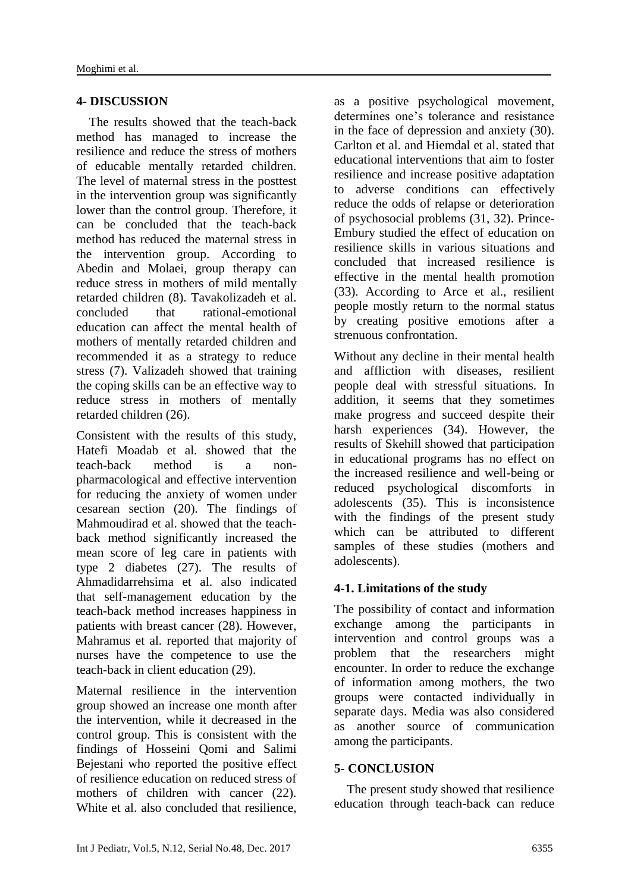#### **4- DISCUSSION**

 The results showed that the teach-back method has managed to increase the resilience and reduce the stress of mothers of educable mentally retarded children. The level of maternal stress in the posttest in the intervention group was significantly lower than the control group. Therefore, it can be concluded that the teach-back method has reduced the maternal stress in the intervention group. According to Abedin and Molaei, group therapy can reduce stress in mothers of mild mentally retarded children (8). Tavakolizadeh et al. concluded that rational-emotional education can affect the mental health of mothers of mentally retarded children and recommended it as a strategy to reduce stress (7). Valizadeh showed that training the coping skills can be an effective way to reduce stress in mothers of mentally retarded children (26).

Consistent with the results of this study, Hatefi Moadab et al. showed that the teach-back method is a nonpharmacological and effective intervention for reducing the anxiety of women under cesarean section (20). The findings of Mahmoudirad et al. showed that the teachback method significantly increased the mean score of leg care in patients with type 2 diabetes (27). The results of Ahmadidarrehsima et al. also indicated that self-management education by the teach-back method increases happiness in patients with breast cancer (28). However, Mahramus et al. reported that majority of nurses have the competence to use the teach-back in client education (29).

Maternal resilience in the intervention group showed an increase one month after the intervention, while it decreased in the control group. This is consistent with the findings of Hosseini Qomi and Salimi Bejestani who reported the positive effect of resilience education on reduced stress of mothers of children with cancer (22). White et al. also concluded that resilience, as a positive psychological movement, determines one's tolerance and resistance in the face of depression and anxiety (30). Carlton et al. and Hiemdal et al. stated that educational interventions that aim to foster resilience and increase positive adaptation to adverse conditions can effectively reduce the odds of relapse or deterioration of psychosocial problems (31, 32). Prince-Embury studied the effect of education on resilience skills in various situations and concluded that increased resilience is effective in the mental health promotion (33). According to Arce et al., resilient people mostly return to the normal status by creating positive emotions after a strenuous confrontation.

Without any decline in their mental health and affliction with diseases, resilient people deal with stressful situations. In addition, it seems that they sometimes make progress and succeed despite their harsh experiences (34). However, the results of Skehill showed that participation in educational programs has no effect on the increased resilience and well-being or reduced psychological discomforts in adolescents (35). This is inconsistence with the findings of the present study which can be attributed to different samples of these studies (mothers and adolescents).

# **4-1. Limitations of the study**

The possibility of contact and information exchange among the participants in intervention and control groups was a problem that the researchers might encounter. In order to reduce the exchange of information among mothers, the two groups were contacted individually in separate days. Media was also considered as another source of communication among the participants.

#### **5- CONCLUSION**

 The present study showed that resilience education through teach-back can reduce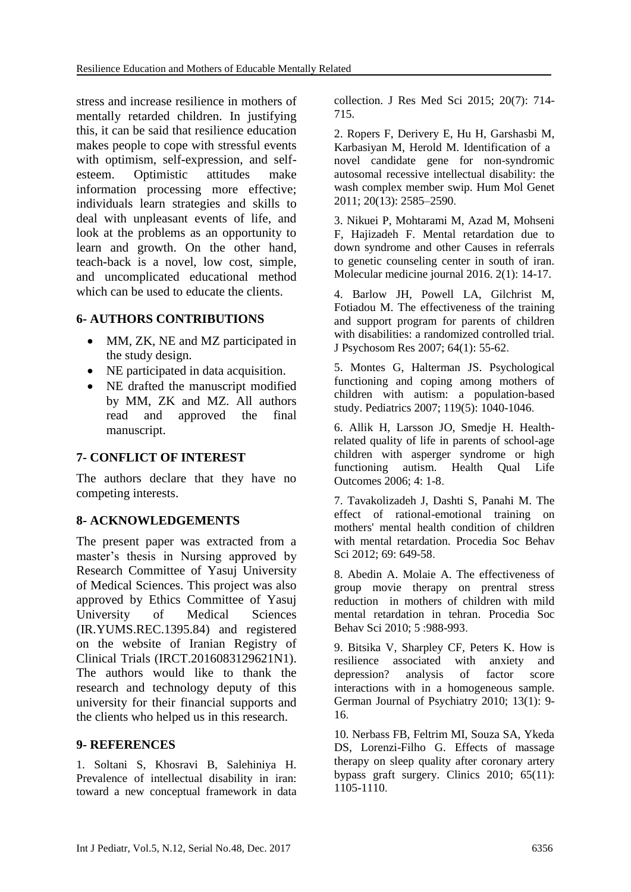stress and increase resilience in mothers of mentally retarded children. In justifying this, it can be said that resilience education makes people to cope with stressful events with optimism, self-expression, and selfesteem. Optimistic attitudes make information processing more effective; individuals learn strategies and skills to deal with unpleasant events of life, and look at the problems as an opportunity to learn and growth. On the other hand, teach-back is a novel, low cost, simple, and uncomplicated educational method which can be used to educate the clients.

#### **6- AUTHORS CONTRIBUTIONS**

- MM, ZK, NE and MZ participated in the study design.
- NE participated in data acquisition.
- NE drafted the manuscript modified by MM, ZK and MZ. All authors read and approved the final manuscript.

# **7- CONFLICT OF INTEREST**

The authors declare that they have no competing interests.

# **8- ACKNOWLEDGEMENTS**

The present paper was extracted from a master's thesis in Nursing approved by Research Committee of Yasuj University of Medical Sciences. This project was also approved by Ethics Committee of Yasuj University of Medical Sciences (IR.YUMS.REC.1395.84) and registered on the website of Iranian Registry of Clinical Trials (IRCT.2016083129621N1). The authors would like to thank the research and technology deputy of this university for their financial supports and the clients who helped us in this research.

#### **9- REFERENCES**

1. Soltani S, Khosravi B, Salehiniya H. Prevalence of intellectual disability in iran: toward a new conceptual framework in data collection. J Res Med Sci 2015; 20(7): 714- 715.

2. Ropers F, Derivery E, Hu H, Garshasbi M, Karbasiyan M, Herold M. Identification of a novel candidate gene for non-syndromic autosomal recessive intellectual disability: the wash complex member swip. Hum Mol Genet 2011; 20(13): 2585–2590.

3. Nikuei P, Mohtarami M, Azad M, Mohseni F, Hajizadeh F. Mental retardation due to down syndrome and other Causes in referrals to genetic counseling center in south of iran. Molecular medicine journal 2016. 2(1): 14-17.

4. Barlow JH, Powell LA, Gilchrist M, Fotiadou M. The effectiveness of the training and support program for parents of children with disabilities: a randomized controlled trial. J Psychosom Res 2007; 64(1): 55-62.

5. Montes G, Halterman JS. Psychological functioning and coping among mothers of children with autism: a population-based study. Pediatrics 2007; 119(5): 1040-1046.

6. Allik H, Larsson JO, Smedje H. Healthrelated quality of life in parents of school-age children with asperger syndrome or high functioning autism. Health Qual Life Outcomes 2006; 4: 1-8.

7. Tavakolizadeh J, Dashti S, Panahi M. The effect of rational-emotional training on mothers' mental health condition of children with mental retardation. Procedia Soc Behav Sci 2012: 69: 649-58.

8. Abedin A. Molaie A. The effectiveness of group movie therapy on prentral stress reduction in mothers of children with mild mental retardation in tehran. Procedia Soc Behav Sci 2010; 5 :988-993.

9. Bitsika V, Sharpley CF, Peters K. How is resilience associated with anxiety and depression? analysis of factor score interactions with in a homogeneous sample. German Journal of Psychiatry 2010; 13(1): 9- 16.

10. Nerbass FB, Feltrim MI, Souza SA, Ykeda DS, Lorenzi-Filho G. Effects of massage therapy on sleep quality after coronary artery bypass graft surgery. Clinics 2010; 65(11): 1105-1110.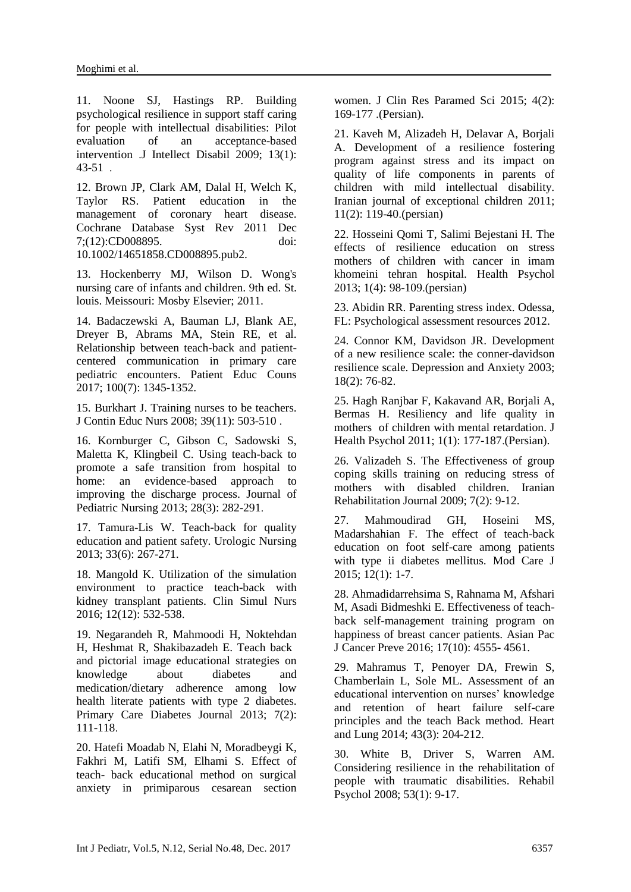11. Noone SJ, Hastings RP. Building psychological resilience in support staff caring for people with intellectual disabilities: Pilot evaluation of an acceptance-based intervention .J Intellect Disabil 2009; 13(1): 43-51 .

12. Brown JP, Clark AM, Dalal H, Welch K, Taylor RS. Patient education in the management of coronary heart disease. Cochrane Database Syst Rev 2011 Dec 7;(12):CD008895. doi: 10.1002/14651858.CD008895.pub2.

13. Hockenberry MJ, Wilson D. Wong's nursing care of infants and children. 9th ed. St. louis. Meissouri: Mosby Elsevier; 2011.

14. Badaczewski A, Bauman LJ, Blank AE, Dreyer B, Abrams MA, Stein RE, et al. Relationship between teach-back and patientcentered communication in primary care pediatric encounters. Patient Educ Couns 2017; 100(7): 1345-1352.

15. Burkhart J. Training nurses to be teachers. J Contin Educ Nurs 2008; 39(11): 503-510 .

16. Kornburger C, Gibson C, Sadowski S, Maletta K, Klingbeil C. Using teach-back to promote a safe transition from hospital to home: an evidence-based approach to improving the discharge process. Journal of Pediatric Nursing 2013; 28(3): 282-291.

17. Tamura-Lis W. Teach-back for quality education and patient safety. Urologic Nursing 2013; 33(6): 267-271.

18. Mangold K. Utilization of the simulation environment to practice teach-back with kidney transplant patients. Clin Simul Nurs 2016; 12(12): 532-538.

19. Negarandeh R, Mahmoodi H, Noktehdan H, Heshmat R, Shakibazadeh E. Teach back and pictorial image educational strategies on knowledge about diabetes and medication/dietary adherence among low health literate patients with type 2 diabetes. Primary Care Diabetes Journal 2013; 7(2): 111-118.

20. Hatefi Moadab N, Elahi N, Moradbeygi K, Fakhri M, Latifi SM, Elhami S. Effect of teach- back educational method on surgical anxiety in primiparous cesarean section women. J Clin Res Paramed Sci 2015; 4(2): 169-177 .(Persian).

21. Kaveh M, Alizadeh H, Delavar A, Borjali A. Development of a resilience fostering program against stress and its impact on quality of life components in parents of children with mild intellectual disability. Iranian journal of exceptional children 2011; 11(2): 119-40.(persian)

22. Hosseini Qomi T, Salimi Bejestani H. The effects of resilience education on stress mothers of children with cancer in imam khomeini tehran hospital. Health Psychol 2013; 1(4): 98-109.(persian)

23. Abidin RR. Parenting stress index. Odessa, FL: Psychological assessment resources 2012.

24. Connor KM, Davidson JR. Development of a new resilience scale: the conner-davidson resilience scale. Depression and Anxiety 2003; 18(2): 76-82.

25. Hagh Ranjbar F, Kakavand AR, Borjali A, Bermas H. Resiliency and life quality in mothers of children with mental retardation. J Health Psychol 2011; 1(1): 177-187.(Persian).

26. Valizadeh S. The Effectiveness of group coping skills training on reducing stress of mothers with disabled children. Iranian Rehabilitation Journal 2009; 7(2): 9-12.

27. Mahmoudirad GH, Hoseini MS, Madarshahian F. The effect of teach-back education on foot self-care among patients with type ii diabetes mellitus. Mod Care J 2015; 12(1): 1-7.

28. Ahmadidarrehsima S, Rahnama M, Afshari M, Asadi Bidmeshki E. Effectiveness of teachback self-management training program on happiness of breast cancer patients. Asian Pac J Cancer Preve 2016; 17(10): 4555- 4561.

29. Mahramus T, Penoyer DA, Frewin S, Chamberlain L, Sole ML. Assessment of an educational intervention on nurses' knowledge and retention of heart failure self-care principles and the teach Back method. Heart and Lung 2014; 43(3): 204-212.

30. White B, Driver S, Warren AM. Considering resilience in the rehabilitation of people with traumatic disabilities. Rehabil Psychol 2008; 53(1): 9-17.